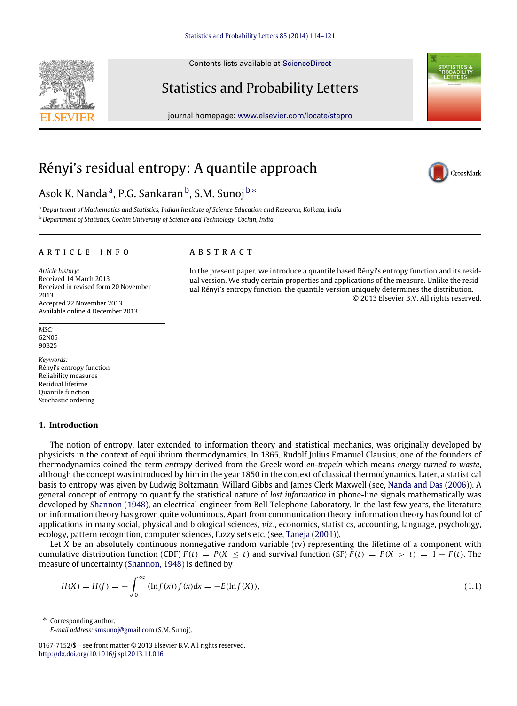Contents lists available at [ScienceDirect](http://www.elsevier.com/locate/stapro)

# Statistics and Probability Letters

journal homepage: [www.elsevier.com/locate/stapro](http://www.elsevier.com/locate/stapro)

# Rényi's residual entropy: A quantile approach

# Asok K. N[a](#page-0-0)ndaª, P.G. Sankaran<sup>[b](#page-0-1)</sup>, S.M. Sunoj<sup>[b,](#page-0-1)</sup>\*

<span id="page-0-1"></span><span id="page-0-0"></span><sup>a</sup> *Department of Mathematics and Statistics, Indian Institute of Science Education and Research, Kolkata, India* <sup>b</sup> *Department of Statistics, Cochin University of Science and Technology, Cochin, India*

#### ARTICLE INFO

*Article history:* Received 14 March 2013 Received in revised form 20 November 2013 Accepted 22 November 2013 Available online 4 December 2013

*MSC:* 62N05 90B25

*Keywords:* Rényi's entropy function Reliability measures Residual lifetime Quantile function Stochastic ordering

## <span id="page-0-4"></span>**1. Introduction**

The notion of entropy, later extended to information theory and statistical mechanics, was originally developed by physicists in the context of equilibrium thermodynamics. In 1865, Rudolf Julius Emanuel Clausius, one of the founders of thermodynamics coined the term *entropy* derived from the Greek word *en-trepein* which means *energy turned to waste*, although the concept was introduced by him in the year 1850 in the context of classical thermodynamics. Later, a statistical basis to entropy was given by Ludwig Boltzmann, Willard Gibbs and James Clerk Maxwell (see, [Nanda](#page-7-0) [and](#page-7-0) [Das](#page-7-0) [\(2006\)](#page-7-0)). A general concept of entropy to quantify the statistical nature of *lost information* in phone-line signals mathematically was developed by [Shannon](#page-7-1) [\(1948\)](#page-7-1), an electrical engineer from Bell Telephone Laboratory. In the last few years, the literature on information theory has grown quite voluminous. Apart from communication theory, information theory has found lot of applications in many social, physical and biological sciences, v*iz*., economics, statistics, accounting, language, psychology, ecology, pattern recognition, computer sciences, fuzzy sets etc. (see, [Taneja](#page-7-2) [\(2001\)](#page-7-2)).

Let *X* be an absolutely continuous nonnegative random variable (rv) representing the lifetime of a component with cumulative distribution function (CDF)  $F(t) = P(X < t)$  and survival function (SF)  $\bar{F}(t) = P(X > t) = 1 - F(t)$ . The measure of uncertainty [\(Shannon,](#page-7-1) [1948\)](#page-7-1) is defined by

$$
H(X) = H(f) = -\int_0^\infty (\ln f(x)) f(x) dx = -E(\ln f(X)),
$$
\n(1.1)

Corresponding author.

<span id="page-0-2"></span>*E-mail address:* [smsunoj@gmail.com](mailto:smsunoj@gmail.com) (S.M. Sunoj).

a b s t r a c t

In the present paper, we introduce a quantile based Rényi's entropy function and its residual version. We study certain properties and applications of the measure. Unlike the residual Rényi's entropy function, the quantile version uniquely determines the distribution. © 2013 Elsevier B.V. All rights reserved.





<span id="page-0-3"></span>

<sup>0167-7152/\$ –</sup> see front matter © 2013 Elsevier B.V. All rights reserved. <http://dx.doi.org/10.1016/j.spl.2013.11.016>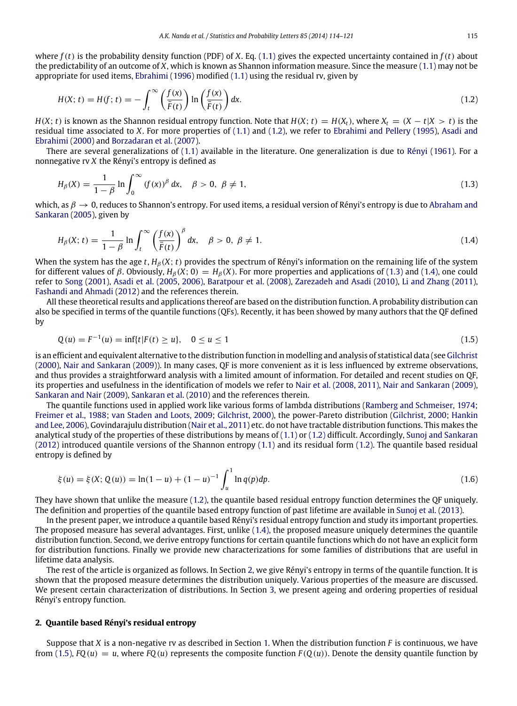where  $f(t)$  is the probability density function (PDF) of *X*. Eq. [\(1.1\)](#page-0-3) gives the expected uncertainty contained in  $f(t)$  about the predictability of an outcome of *X*, which is known as Shannon information measure. Since the measure [\(1.1\)](#page-0-3) may not be appropriate for used items, [Ebrahimi](#page-6-0) [\(1996\)](#page-6-0) modified [\(1.1\)](#page-0-3) using the residual rv, given by

<span id="page-1-0"></span>
$$
H(X; t) = H(f; t) = -\int_{t}^{\infty} \left(\frac{f(x)}{\bar{F}(t)}\right) \ln\left(\frac{f(x)}{\bar{F}(t)}\right) dx.
$$
\n(1.2)

*H*(*X*; *t*) is known as the Shannon residual entropy function. Note that  $H(X; t) = H(X_t)$ , where  $X_t = (X - t|X > t)$  is the residual time associated to *X*. For more properties of [\(1.1\)](#page-0-3) and [\(1.2\),](#page-1-0) we refer to [Ebrahimi](#page-6-1) [and](#page-6-1) [Pellery](#page-6-1) [\(1995\)](#page-6-1), [Asadi](#page-6-2) [and](#page-6-2) [Ebrahimi](#page-6-2) [\(2000\)](#page-6-2) and [Borzadaran](#page-6-3) [et al.](#page-6-3) [\(2007\)](#page-6-3).

There are several generalizations of [\(1.1\)](#page-0-3) available in the literature. One generalization is due to [Rényi](#page-7-3) [\(1961\)](#page-7-3). For a nonnegative rv *X* the Rényi's entropy is defined as

<span id="page-1-1"></span>
$$
H_{\beta}(X) = \frac{1}{1 - \beta} \ln \int_0^{\infty} (f(x))^{\beta} dx, \quad \beta > 0, \ \beta \neq 1,
$$
\n(1.3)

which, as  $\beta \to 0$ , reduces to Shannon's entropy. For used items, a residual version of Rényi's entropy is due to [Abraham](#page-6-4) [and](#page-6-4) [Sankaran](#page-6-4) [\(2005\)](#page-6-4), given by

<span id="page-1-2"></span>
$$
H_{\beta}(X; t) = \frac{1}{1-\beta} \ln \int_{t}^{\infty} \left(\frac{f(x)}{\bar{F}(t)}\right)^{\beta} dx, \quad \beta > 0, \ \beta \neq 1.
$$
 (1.4)

When the system has the age *t*,  $H_\beta(X; t)$  provides the spectrum of Rényi's information on the remaining life of the system for different values of  $\beta$ . Obviously,  $H_\beta(X; 0) = H_\beta(X)$ . For more properties and applications of [\(1.3\)](#page-1-1) and [\(1.4\),](#page-1-2) one could refer to [Song](#page-7-4) [\(2001\)](#page-7-4), [Asadi](#page-6-5) [et al.](#page-6-5) [\(2005](#page-6-5)[,](#page-6-6) [2006\),](#page-6-6) [Baratpour](#page-6-7) [et al.](#page-6-7) [\(2008\)](#page-6-7), [Zarezadeh](#page-7-5) [and](#page-7-5) [Asadi](#page-7-5) [\(2010\)](#page-7-5), [Li](#page-7-6) [and](#page-7-6) [Zhang](#page-7-6) [\(2011\)](#page-7-6), [Fashandi](#page-6-8) [and](#page-6-8) [Ahmadi](#page-6-8) [\(2012\)](#page-6-8) and the references therein.

All these theoretical results and applications thereof are based on the distribution function. A probability distribution can also be specified in terms of the quantile functions (QFs). Recently, it has been showed by many authors that the QF defined by

<span id="page-1-4"></span>
$$
Q(u) = F^{-1}(u) = \inf\{t \mid F(t) \ge u\}, \quad 0 \le u \le 1
$$
\n(1.5)

is an efficient and equivalent alternative to the distribution function in modelling and analysis of statistical data (see [Gilchrist](#page-7-7) [\(2000\)](#page-7-7), [Nair](#page-7-8) [and](#page-7-8) [Sankaran](#page-7-8) [\(2009\)](#page-7-8)). In many cases, QF is more convenient as it is less influenced by extreme observations, and thus provides a straightforward analysis with a limited amount of information. For detailed and recent studies on QF, its properties and usefulness in the identification of models we refer to [Nair](#page-7-9) [et al.](#page-7-9) [\(2008,](#page-7-9) [2011\),](#page-7-10) [Nair](#page-7-8) [and](#page-7-8) [Sankaran](#page-7-8) [\(2009\)](#page-7-8), [Sankaran](#page-7-11) [and](#page-7-11) [Nair](#page-7-11) [\(2009\)](#page-7-11), [Sankaran](#page-7-12) [et al.](#page-7-12) [\(2010\)](#page-7-12) and the references therein.

The quantile functions used in applied work like various forms of lambda distributions [\(Ramberg](#page-7-13) [and](#page-7-13) [Schmeiser,](#page-7-13) [1974;](#page-7-13) [Freimer](#page-7-14) [et al.,](#page-7-14) [1988;](#page-7-14) [van](#page-7-15) [Staden](#page-7-15) [and](#page-7-15) [Loots,](#page-7-15) [2009;](#page-7-15) [Gilchrist,](#page-7-7) [2000\)](#page-7-7), the power-Pareto distribution [\(Gilchrist,](#page-7-7) [2000;](#page-7-7) [Hankin](#page-7-16) [and](#page-7-16) [Lee,](#page-7-16) [2006\)](#page-7-16), Govindarajulu distribution [\(Nair](#page-7-10) [et al.,](#page-7-10) [2011\)](#page-7-10) etc. do not have tractable distribution functions. This makes the analytical study of the properties of these distributions by means of [\(1.1\)](#page-0-3) or [\(1.2\)](#page-1-0) difficult. Accordingly, [Sunoj](#page-7-17) [and](#page-7-17) [Sankaran](#page-7-17) [\(2012\)](#page-7-17) introduced quantile versions of the Shannon entropy [\(1.1\)](#page-0-3) and its residual form [\(1.2\).](#page-1-0) The quantile based residual entropy is defined by

$$
\xi(u) = \xi(X; Q(u)) = \ln(1-u) + (1-u)^{-1} \int_{u}^{1} \ln q(p) dp.
$$
\n(1.6)

They have shown that unlike the measure [\(1.2\),](#page-1-0) the quantile based residual entropy function determines the QF uniquely. The definition and properties of the quantile based entropy function of past lifetime are available in [Sunoj](#page-7-18) [et al.](#page-7-18) [\(2013\)](#page-7-18).

In the present paper, we introduce a quantile based Rényi's residual entropy function and study its important properties. The proposed measure has several advantages. First, unlike [\(1.4\),](#page-1-2) the proposed measure uniquely determines the quantile distribution function. Second, we derive entropy functions for certain quantile functions which do not have an explicit form for distribution functions. Finally we provide new characterizations for some families of distributions that are useful in lifetime data analysis.

The rest of the article is organized as follows. In Section [2,](#page-1-3) we give Rényi's entropy in terms of the quantile function. It is shown that the proposed measure determines the distribution uniquely. Various properties of the measure are discussed. We present certain characterization of distributions. In Section [3,](#page-4-0) we present ageing and ordering properties of residual Rényi's entropy function.

### <span id="page-1-3"></span>**2. Quantile based Rényi's residual entropy**

Suppose that *X* is a non-negative rv as described in Section [1.](#page-0-4) When the distribution function *F* is continuous, we have from [\(1.5\),](#page-1-4)  $FQ(u) = u$ , where  $FQ(u)$  represents the composite function  $F(Q(u))$ . Denote the density quantile function by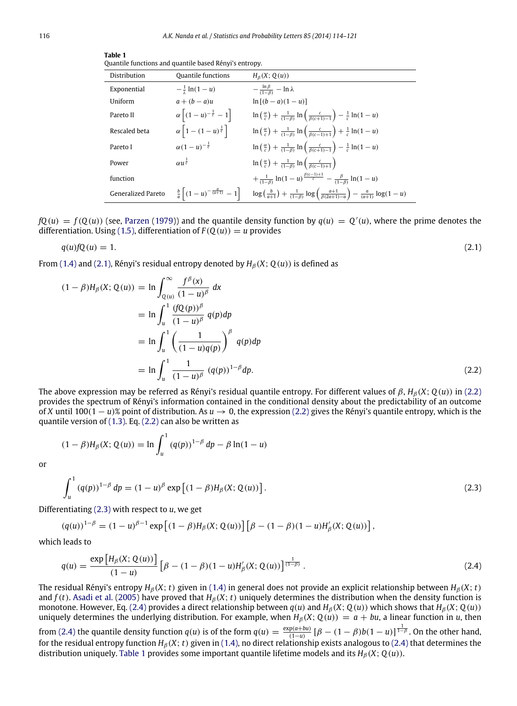| тане т                                                 |  |
|--------------------------------------------------------|--|
| Quantile functions and quantile based Rényi's entropy. |  |

<span id="page-2-0"></span>

| Distribution       | <b>Ouantile functions</b>                                | $H_8(X; Q(u))$                                                                                                                |
|--------------------|----------------------------------------------------------|-------------------------------------------------------------------------------------------------------------------------------|
| Exponential        | $-\frac{1}{x} \ln(1-u)$                                  | $-\frac{\ln \beta}{(1-\beta)} - \ln \lambda$                                                                                  |
| Uniform            | $a + (b - a)u$                                           | $\ln [(b - a)(1 - u)]$                                                                                                        |
| Pareto II          | $\alpha \left[ (1-u)^{-\frac{1}{c}} - 1 \right]$         | $\ln\left(\frac{\alpha}{c}\right) + \frac{1}{(1-\beta)} \ln\left(\frac{c}{\beta(c+1)-1}\right) - \frac{1}{c} \ln(1-u)$        |
| Rescaled beta      | $\alpha$   1 – $(1-u)^{\frac{1}{c}}$                     | $\ln\left(\frac{\alpha}{c}\right) + \frac{1}{(1-\beta)}\ln\left(\frac{c}{\beta(c-1)+1}\right) + \frac{1}{c}\ln(1-u)$          |
| Pareto I           | $\alpha(1-u)^{-\frac{1}{c}}$                             | $\ln\left(\frac{\alpha}{c}\right) + \frac{1}{(1-\beta)} \ln\left(\frac{c}{\beta(c+1)-1}\right) - \frac{1}{c} \ln(1-u)$        |
| Power              | $\alpha u^{\frac{1}{c}}$                                 | $\ln\left(\frac{\alpha}{c}\right) + \frac{1}{(1-\beta)} \ln\left(\frac{c}{\beta(c-1)+1}\right)$                               |
| function           |                                                          | $+\frac{1}{(1-\beta)}\ln(1-u)^{\frac{\beta(c-1)+1}{c}}-\frac{\beta}{(1-\beta)}\ln(1-u)$                                       |
| Generalized Pareto | $\frac{b}{a}\left[ (1-u)^{-\frac{a}{(a+1)}} - 1 \right]$ | $\log\left(\frac{b}{a+1}\right) + \frac{1}{(1-\beta)} \log\left(\frac{a+1}{\beta(2a+1)-a}\right) - \frac{a}{(a+1)} \log(1-u)$ |

 $fQ(u) = f(Q(u))$  (see, [Parzen](#page-7-19) [\(1979\)](#page-7-19)) and the quantile density function by  $q(u) = Q'(u)$ , where the prime denotes the differentiation. Using [\(1.5\),](#page-1-4) differentiation of  $F(Q(u)) = u$  provides

$$
q(u)fQ(u) = 1. \tag{2.1}
$$

<span id="page-2-4"></span>**Table 1**

From [\(1.4\)](#page-1-2) and [\(2.1\),](#page-2-0) Rényi's residual entropy denoted by  $H_B(X; O(u))$  is defined as

$$
(1 - \beta)H_{\beta}(X; Q(u)) = \ln \int_{Q(u)}^{\infty} \frac{f^{\beta}(x)}{(1 - u)^{\beta}} dx
$$
  
=  $\ln \int_{u}^{1} \frac{(fQ(p))^{\beta}}{(1 - u)^{\beta}} q(p) dp$   
=  $\ln \int_{u}^{1} \left(\frac{1}{(1 - u)q(p)}\right)^{\beta} q(p) dp$   
=  $\ln \int_{u}^{1} \frac{1}{(1 - u)^{\beta}} (q(p))^{1-\beta} dp.$  (2.2)

The above expression may be referred as Rényi's residual quantile entropy. For different values of  $\beta$ ,  $H_B(X; Q(u))$  in [\(2.2\)](#page-2-1) provides the spectrum of Rényi's information contained in the conditional density about the predictability of an outcome of *X* until 100(1 − *u*)% point of distribution. As *u* → 0, the expression [\(2.2\)](#page-2-1) gives the Rényi's quantile entropy, which is the quantile version of [\(1.3\).](#page-1-1) Eq. [\(2.2\)](#page-2-1) can also be written as

<span id="page-2-1"></span>
$$
(1 - \beta)H_{\beta}(X; Q(u)) = \ln \int_{u}^{1} (q(p))^{1-\beta} dp - \beta \ln(1-u)
$$

or

<span id="page-2-2"></span>
$$
\int_{u}^{1} (q(p))^{1-\beta} dp = (1-u)^{\beta} \exp [(1-\beta)H_{\beta}(X; Q(u))].
$$
\n(2.3)

Differentiating [\(2.3\)](#page-2-2) with respect to *u*, we get

$$
(q(u))^{1-\beta} = (1-u)^{\beta-1} \exp \left[ (1-\beta) H_{\beta}(X; Q(u)) \right] \left[ \beta - (1-\beta)(1-u) H'_{\beta}(X; Q(u)) \right],
$$

which leads to

<span id="page-2-3"></span>
$$
q(u) = \frac{\exp\left[H_{\beta}(X; Q(u))\right]}{(1-u)} \left[\beta - (1-\beta)(1-u)H'_{\beta}(X; Q(u))\right]^{\frac{1}{(1-\beta)}}.
$$
\n(2.4)

The residual Rényi's entropy  $H_\beta(X; t)$  given in [\(1.4\)](#page-1-2) in general does not provide an explicit relationship between  $H_\beta(X; t)$ and  $f(t)$ . [Asadi](#page-6-5) [et al.](#page-6-5) [\(2005\)](#page-6-5) have proved that  $H_\beta(X; t)$  uniquely determines the distribution when the density function is monotone. However, Eq. [\(2.4\)](#page-2-3) provides a direct relationship between  $q(u)$  and  $H_\beta(X; Q(u))$  which shows that  $H_\beta(X; Q(u))$ uniquely determines the underlying distribution. For example, when  $H_\beta(X; Q(u)) = a + bu$ , a linear function in *u*, then from [\(2.4\)](#page-2-3) the quantile density function  $q(u)$  is of the form  $q(u) = \frac{\exp(a+bu)}{(1-u)} [\beta - (1-\beta)b(1-u)]^{\frac{1}{1-\beta}}$ . On the other hand, for the residual entropy function  $H_\beta(X; t)$  given in [\(1.4\),](#page-1-2) no direct relationship exists analogous to [\(2.4\)](#page-2-3) that determines the distribution uniquely. [Table 1](#page-2-4) provides some important quantile lifetime models and its  $H_\beta(X; Q(u))$ .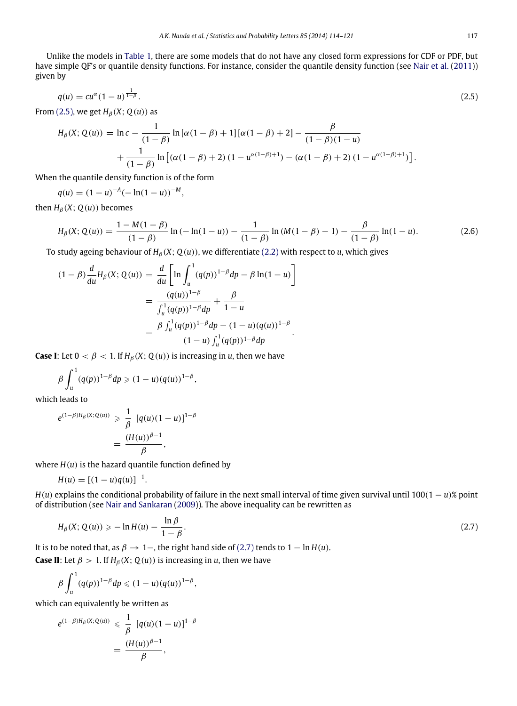Unlike the models in [Table 1,](#page-2-4) there are some models that do not have any closed form expressions for CDF or PDF, but have simple QF's or quantile density functions. For instance, consider the quantile density function (see [Nair](#page-7-10) [et al.](#page-7-10) [\(2011\)](#page-7-10)) given by

$$
q(u) = cu^{\alpha}(1-u)^{\frac{1}{1-\beta}}.
$$
\n(2.5)

From [\(2.5\),](#page-3-0) we get  $H_\beta(X; Q(u))$  as

<span id="page-3-0"></span>
$$
H_{\beta}(X; Q(u)) = \ln c - \frac{1}{(1-\beta)} \ln [\alpha(1-\beta) + 1][\alpha(1-\beta) + 2] - \frac{\beta}{(1-\beta)(1-u)}
$$
  
+ 
$$
\frac{1}{(1-\beta)} \ln [(\alpha(1-\beta) + 2) (1 - u^{\alpha(1-\beta)+1}) - (\alpha(1-\beta) + 2) (1 - u^{\alpha(1-\beta)+1})].
$$

When the quantile density function is of the form

$$
q(u) = (1 - u)^{-A} (-\ln(1 - u))^{-M},
$$

then  $H_\beta(X; Q(u))$  becomes

<span id="page-3-2"></span>
$$
H_{\beta}(X; Q(u)) = \frac{1 - M(1 - \beta)}{(1 - \beta)} \ln(-\ln(1 - u)) - \frac{1}{(1 - \beta)} \ln(M(1 - \beta) - 1) - \frac{\beta}{(1 - \beta)} \ln(1 - u). \tag{2.6}
$$

To study ageing behaviour of *H*<sup>β</sup> (*X*; *Q*(*u*)), we differentiate [\(2.2\)](#page-2-1) with respect to *u*, which gives

$$
(1 - \beta) \frac{d}{du} H_{\beta}(X; Q(u)) = \frac{d}{du} \left[ \ln \int_{u}^{1} (q(p))^{1-\beta} dp - \beta \ln(1-u) \right]
$$
  
= 
$$
\frac{(q(u))^{1-\beta}}{\int_{u}^{1} (q(p))^{1-\beta} dp} + \frac{\beta}{1-u}
$$
  
= 
$$
\frac{\beta \int_{u}^{1} (q(p))^{1-\beta} dp - (1-u)(q(u))^{1-\beta}}{(1-u) \int_{u}^{1} (q(p))^{1-\beta} dp}.
$$

**Case I**: Let  $0 < \beta < 1$ . If  $H_\beta(X; Q(u))$  is increasing in *u*, then we have

$$
\beta\int_u^1(q(p))^{1-\beta}dp\geqslant (1-u)(q(u))^{1-\beta},
$$

which leads to

$$
e^{(1-\beta)H_{\beta}(X;Q(u))} \geq \frac{1}{\beta} [q(u)(1-u)]^{1-\beta}
$$

$$
= \frac{(H(u))^{\beta-1}}{\beta},
$$

where  $H(u)$  is the hazard quantile function defined by

$$
H(u) = [(1 - u)q(u)]^{-1}.
$$

 $H(u)$  explains the conditional probability of failure in the next small interval of time given survival until 100(1 – *u*)% point of distribution (see [Nair](#page-7-8) [and](#page-7-8) [Sankaran](#page-7-8) [\(2009\)](#page-7-8)). The above inequality can be rewritten as

<span id="page-3-1"></span>
$$
H_{\beta}(X; Q(u)) \geq -\ln H(u) - \frac{\ln \beta}{1 - \beta}.
$$
\n(2.7)

It is to be noted that, as  $\beta \rightarrow 1$ –, the right hand side of [\(2.7\)](#page-3-1) tends to  $1 - \ln H(u)$ . **Case II**: Let  $\beta > 1$ . If  $H_\beta(X; Q(u))$  is increasing in *u*, then we have

$$
\beta \int_u^1 (q(p))^{1-\beta} dp \leq (1-u) (q(u))^{1-\beta},
$$

which can equivalently be written as

$$
e^{(1-\beta)H_{\beta}(X;Q(u))} \leq \frac{1}{\beta} [q(u)(1-u)]^{1-\beta}
$$
  
= 
$$
\frac{(H(u))^{\beta-1}}{\beta},
$$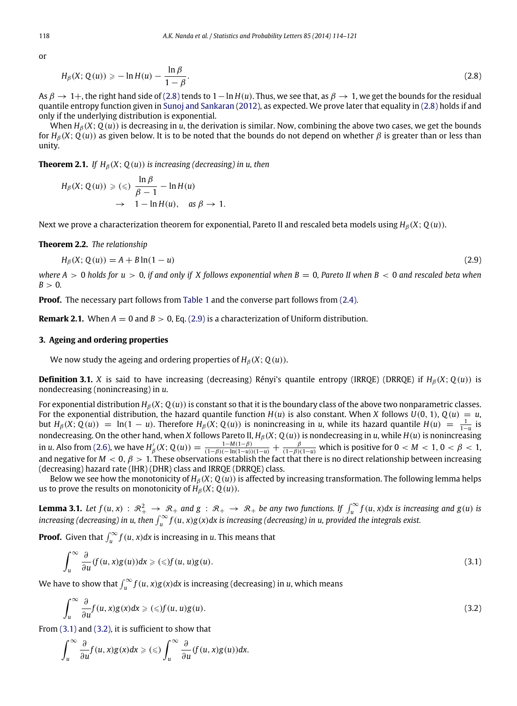or

<span id="page-4-1"></span>
$$
H_{\beta}(X; Q(u)) \geq -\ln H(u) - \frac{\ln \beta}{1 - \beta}.
$$
\n(2.8)

As β → 1+, the right hand side of [\(2.8\)](#page-4-1) tends to 1−ln *H*(*u*). Thus, we see that, as β → 1, we get the bounds for the residual quantile entropy function given in [Sunoj](#page-7-17) [and](#page-7-17) [Sankaran](#page-7-17) [\(2012\)](#page-7-17), as expected. We prove later that equality in [\(2.8\)](#page-4-1) holds if and only if the underlying distribution is exponential.

When  $H_\beta(X; Q(u))$  is decreasing in *u*, the derivation is similar. Now, combining the above two cases, we get the bounds for  $H_\beta(X; Q(u))$  as given below. It is to be noted that the bounds do not depend on whether  $\beta$  is greater than or less than unity.

**Theorem 2.1.** *If*  $H_B(X; Q(u))$  *is increasing (decreasing) in u, then* 

$$
H_{\beta}(X; Q(u)) \geqslant (\leqslant) \frac{\ln \beta}{\beta - 1} - \ln H(u)
$$
  

$$
\rightarrow 1 - \ln H(u), \quad \text{as } \beta \rightarrow 1.
$$

Next we prove a characterization theorem for exponential, Pareto II and rescaled beta models using  $H_\beta(X; Q(u))$ .

#### **Theorem 2.2.** *The relationship*

<span id="page-4-2"></span>
$$
H_{\beta}(X; Q(u)) = A + B \ln(1 - u)
$$
\n(2.9)

*where A*  $> 0$  *holds for u*  $> 0$ , *if and only if X follows exponential when*  $B = 0$ , Pareto II when B  $< 0$  and rescaled beta when  $B > 0$ .

**Proof.** The necessary part follows from [Table 1](#page-2-4) and the converse part follows from [\(2.4\).](#page-2-3)

**Remark 2.1.** When  $A = 0$  and  $B > 0$ , Eq. [\(2.9\)](#page-4-2) is a characterization of Uniform distribution.

## <span id="page-4-0"></span>**3. Ageing and ordering properties**

We now study the ageing and ordering properties of  $H_\beta(X; Q(u))$ .

**Definition 3.1.** *X* is said to have increasing (decreasing) Rényi's quantile entropy (IRRQE) (DRRQE) if  $H_\beta(X; Q(u))$  is nondecreasing (nonincreasing) in *u*.

For exponential distribution  $H_\beta(X; Q(u))$  is constant so that it is the boundary class of the above two nonparametric classes. For the exponential distribution, the hazard quantile function  $H(u)$  is also constant. When *X* follows  $U(0, 1)$ ,  $Q(u) = u$ , but  $H_\beta(X; Q(u)) = \ln(1-u)$ . Therefore  $H_\beta(X; Q(u))$  is nonincreasing in *u*, while its hazard quantile  $H(u) = \frac{1}{1-u}$  is nondecreasing. On the other hand, when *X* follows Pareto II,  $H_\beta(X; Q(u))$  is nondecreasing in *u*, while  $H(u)$  is nonincreasing in *u*. Also from [\(2.6\),](#page-3-2) we have  $H'_{\beta}(X; Q(u)) = \frac{1 - M(1 - \beta)}{(1 - \beta)(- \ln(1 - u))(1 - u)} + \frac{\beta}{(1 - \beta)(1 - u)}$  which is positive for  $0 < M < 1, 0 < \beta < 1$ , and negative for  $M < 0$ ,  $\beta > 1$ . These observations establish the fact that there is no direct relationship between increasing (decreasing) hazard rate (IHR) (DHR) class and IRRQE (DRRQE) class.

Below we see how the monotonicity of  $H_\beta(X; Q(u))$  is affected by increasing transformation. The following lemma helps us to prove the results on monotonicity of  $H_\beta(X; Q(u))$ .

<span id="page-4-5"></span>**Lemma 3.1.** Let  $f(u, x) : \mathbb{R}_+^2 \to \mathbb{R}_+$  and  $g : \mathbb{R}_+ \to \mathbb{R}_+$  be any two functions. If  $\int_u^\infty f(u, x) dx$  is increasing and  $g(u)$  is *increasing (decreasing) in u, then*  $\int_u^{\infty} f(u, x)g(x)dx$  *is increasing (decreasing) in u, provided the integrals exist.* 

**Proof.** Given that  $\int_u^\infty f(u, x) dx$  is increasing in *u*. This means that

<span id="page-4-3"></span>
$$
\int_{u}^{\infty} \frac{\partial}{\partial u} (f(u, x)g(u)) dx \geqslant (\leqslant) f(u, u)g(u).
$$
\n(3.1)

We have to show that  $\int_u^\infty f(u,x)g(x)dx$  is increasing (decreasing) in *u*, which means

<span id="page-4-4"></span>
$$
\int_{u}^{\infty} \frac{\partial}{\partial u} f(u, x) g(x) dx \geqslant (\leqslant) f(u, u) g(u).
$$
\n(3.2)

From [\(3.1\)](#page-4-3) and [\(3.2\),](#page-4-4) it is sufficient to show that

$$
\int_u^\infty \frac{\partial}{\partial u} f(u, x) g(x) dx \geqslant (\leqslant) \int_u^\infty \frac{\partial}{\partial u} (f(u, x) g(u)) dx.
$$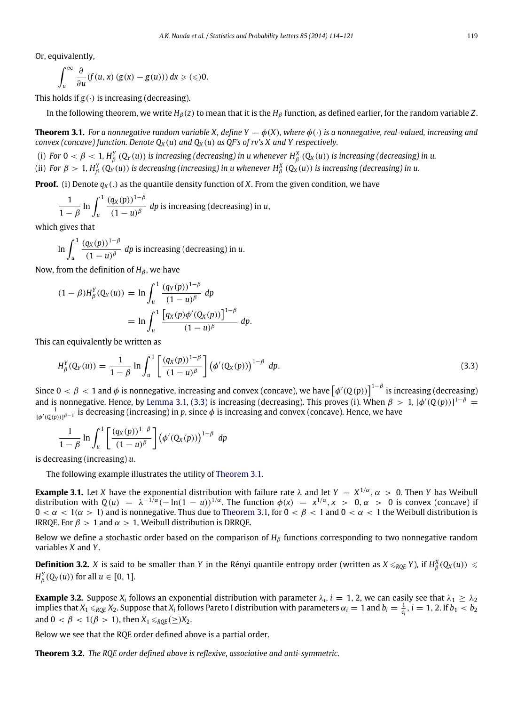Or, equivalently,

$$
\int_u^\infty \frac{\partial}{\partial u} (f(u,x) (g(x) - g(u))) dx \geqslant (\leqslant) 0.
$$

This holds if  $g(.)$  is increasing (decreasing).

<span id="page-5-1"></span>In the following theorem, we write  $H_\beta(z)$  to mean that it is the  $H_\beta$  function, as defined earlier, for the random variable *Z*.

**Theorem 3.1.** *For a nonnegative random variable X, define Y =*  $\phi$ *(X), where*  $\phi$ ( $\cdot$ ) *is a nonnegative, real-valued, increasing and convex (concave) function. Denote*  $Q_X(u)$  *and*  $Q_X(u)$  *as QF's of rv's X and Y respectively.* 

(i) For  $0 < \beta < 1$ ,  $H_\beta^Y\left(Q_Y(u)\right)$  is increasing (decreasing) in u whenever  $H_\beta^X\left(Q_X(u)\right)$  is increasing (decreasing) in u.

(ii) For  $\beta > 1$ ,  $H_\beta^Y\left(Q_Y(u)\right)$  is decreasing (increasing) in u whenever  $H_\beta^X\left(Q_X(u)\right)$  is increasing (decreasing) in u.

**Proof.** (i) Denote  $q_X(.)$  as the quantile density function of *X*. From the given condition, we have

$$
\frac{1}{1-\beta}\ln\int_{u}^{1}\frac{(q_{X}(p))^{1-\beta}}{(1-u)^{\beta}}dp
$$
 is increasing (decreasing) in u,

which gives that

$$
\ln \int_{u}^{1} \frac{(q_X(p))^{1-\beta}}{(1-u)^{\beta}} dp
$$
 is increasing (decreasing) in u.

Now, from the definition of  $H_\beta$ , we have

$$
(1 - \beta)H_{\beta}^{Y}(Q_{Y}(u)) = \ln \int_{u}^{1} \frac{(q_{Y}(p))^{1-\beta}}{(1-u)^{\beta}} dp
$$
  
=  $\ln \int_{u}^{1} \frac{[q_{X}(p)\phi'(Q_{X}(p))]^{1-\beta}}{(1-u)^{\beta}} dp.$ 

This can equivalently be written as

<span id="page-5-0"></span>
$$
H_{\beta}^{Y}(Q_{Y}(u)) = \frac{1}{1-\beta} \ln \int_{u}^{1} \left[ \frac{(q_{X}(p))^{1-\beta}}{(1-u)^{\beta}} \right] (\phi'(Q_{X}(p)))^{1-\beta} dp.
$$
 (3.3)

Since  $0 < \beta < 1$  and  $\phi$  is nonnegative, increasing and convex (concave), we have  $\big[\phi'(Q(p))\big]^{1-\beta}$  is increasing (decreasing) and is nonnegative. Hence, by [Lemma 3.1,](#page-4-5) [\(3.3\)](#page-5-0) is increasing (decreasing). This proves (i). When  $\beta > 1$ ,  $[\phi'(Q(p))]^{1-\beta} =$  $\frac{1}{[\phi'(\mathbb{Q}(p))]^{\beta-1}}$  is decreasing (increasing) in p, since  $\phi$  is increasing and convex (concave). Hence, we have

$$
\frac{1}{1-\beta}\ln\int_u^1\left[\frac{(q_X(p))^{1-\beta}}{(1-u)^\beta}\right]\left(\phi'(Q_X(p))\right)^{1-\beta}dp
$$

is decreasing (increasing) *u*.

The following example illustrates the utility of [Theorem 3.1.](#page-5-1)

**Example 3.1.** Let *X* have the exponential distribution with failure rate  $\lambda$  and let  $Y = X^{1/\alpha}, \alpha > 0$ . Then *Y* has Weibull distribution with  $Q(u) = \lambda^{-1/\alpha}(-\ln(1-u))^{1/\alpha}$ . The function  $\phi(x) = x^{1/\alpha}, x > 0, \alpha > 0$  is convex (concave) if  $0 < \alpha < 1$  ( $\alpha > 1$ ) and is nonnegative. Thus due to [Theorem 3.1,](#page-5-1) for  $0 < \beta < 1$  and  $0 < \alpha < 1$  the Weibull distribution is IRRQE. For  $\beta > 1$  and  $\alpha > 1$ , Weibull distribution is DRRQE.

Below we define a stochastic order based on the comparison of *H*β functions corresponding to two nonnegative random variables *X* and *Y*.

**Definition 3.2.** *X* is said to be smaller than *Y* in the Rényi quantile entropy order (written as  $X \leq_{RQE} Y$ ), if  $H^X_\beta(Q_X(u)) \leq$  $H_\beta^Y(Q_Y(u))$  for all  $u \in [0, 1]$ .

**Example 3.2.** Suppose  $X_i$  follows an exponential distribution with parameter  $\lambda_i$ ,  $i = 1, 2$ , we can easily see that  $\lambda_1 \geq \lambda_2$ implies that  $X_1\leqslant_{RQE}X_2$ . Suppose that  $X_i$  follows Pareto I distribution with parameters  $\alpha_i=1$  and  $b_i=\frac{1}{c_i},$   $i=1,$  2. If  $b_1< b_2$ and  $0 < \beta < 1(\beta > 1)$ , then  $X_1 \leq RQE \leq)X_2$ .

Below we see that the RQE order defined above is a partial order.

**Theorem 3.2.** *The RQE order defined above is reflexive, associative and anti-symmetric.*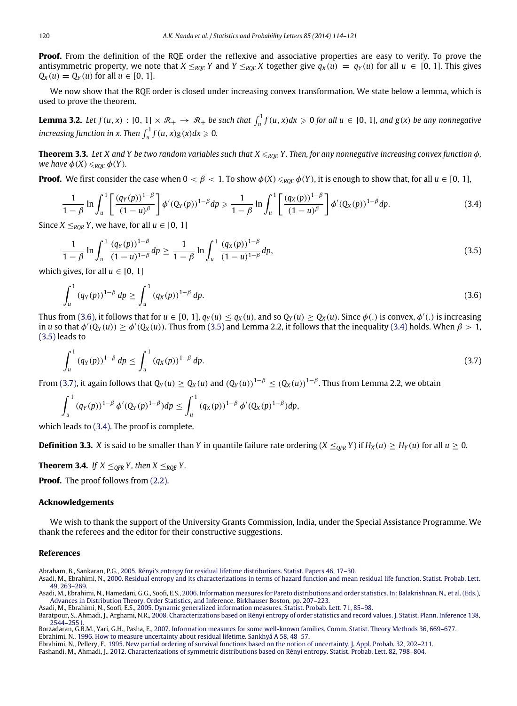**Proof.** From the definition of the RQE order the reflexive and associative properties are easy to verify. To prove the antisymmetric property, we note that  $X \leq_{ROF} Y$  and  $Y \leq_{ROF} X$  together give  $q_X(u) = q_Y(u)$  for all  $u \in [0, 1]$ . This gives *Q*<sup>*X*</sup> (*u*) = *Q*<sup>*Y*</sup> (*u*) for all *u* ∈ [0, 1].

We now show that the RQE order is closed under increasing convex transformation. We state below a lemma, which is used to prove the theorem.

**Lemma 3.2.** Let  $f(u, x) : [0, 1] \times \mathcal{R}_+ \to \mathcal{R}_+$  be such that  $\int_u^1 f(u, x) dx \ge 0$  for all  $u \in [0, 1]$ , and  $g(x)$  be any nonnegative  $\int u \, dv = \int u \, dv$  *function in x. Then*  $\int_u^1 f(u, x) g(x) dx \ge 0$ .

**Theorem 3.3.** Let X and Y be two random variables such that  $X \leq_{ROE} Y$ . Then, for any nonnegative increasing convex function  $\phi$ , *we have*  $\phi(X) \leq_{ROE} \phi(Y)$ *.* 

**Proof.** We first consider the case when  $0 < \beta < 1$ . To show  $\phi(X) \leq_{ROE} \phi(Y)$ , it is enough to show that, for all  $u \in [0, 1]$ ,

<span id="page-6-11"></span>
$$
\frac{1}{1-\beta}\ln\int_{u}^{1}\left[\frac{(q_{Y}(p))^{1-\beta}}{(1-u)^{\beta}}\right]\phi'(Q_{Y}(p))^{1-\beta}dp \geq \frac{1}{1-\beta}\ln\int_{u}^{1}\left[\frac{(q_{X}(p))^{1-\beta}}{(1-u)^{\beta}}\right]\phi'(Q_{X}(p))^{1-\beta}dp.
$$
\n(3.4)

Since *X*  $\leq_{ROR}$  *Y*, we have, for all  $u \in [0, 1]$ 

<span id="page-6-10"></span>
$$
\frac{1}{1-\beta} \ln \int_{u}^{1} \frac{(q_Y(p))^{1-\beta}}{(1-u)^{1-\beta}} dp \ge \frac{1}{1-\beta} \ln \int_{u}^{1} \frac{(q_X(p))^{1-\beta}}{(1-u)^{1-\beta}} dp,
$$
\n(3.5)

which gives, for all  $u \in [0, 1]$ 

<span id="page-6-9"></span>
$$
\int_{u}^{1} (q_Y(p))^{1-\beta} dp \ge \int_{u}^{1} (q_X(p))^{1-\beta} dp.
$$
\n(3.6)

Thus from [\(3.6\),](#page-6-9) it follows that for  $u \in [0, 1]$ ,  $q_Y(u) \le q_X(u)$ , and so  $Q_Y(u) \ge Q_X(u)$ . Since  $\phi(.)$  is convex,  $\phi'(.)$  is increasing in *u* so that  $\phi'(Q_Y(u)) \ge \phi'(Q_X(u))$ . Thus from [\(3.5\)](#page-6-10) and Lemma 2.2, it follows that the inequality [\(3.4\)](#page-6-11) holds. When  $\beta > 1$ , [\(3.5\)](#page-6-10) leads to

<span id="page-6-12"></span>
$$
\int_{u}^{1} (q_Y(p))^{1-\beta} \, dp \le \int_{u}^{1} (q_X(p))^{1-\beta} \, dp. \tag{3.7}
$$

From [\(3.7\),](#page-6-12) it again follows that  $Q_Y(u)\geq Q_X(u)$  and  $(Q_Y(u))^{1-\beta}\leq (Q_X(u))^{1-\beta}.$  Thus from Lemma 2.2, we obtain

$$
\int_u^1 (q_Y(p))^{1-\beta} \phi'(Q_Y(p)^{1-\beta}) dp \leq \int_u^1 (q_X(p))^{1-\beta} \phi'(Q_X(p)^{1-\beta}) dp,
$$

which leads to [\(3.4\).](#page-6-11) The proof is complete.

**Definition 3.3.** *X* is said to be smaller than *Y* in quantile failure rate ordering  $(X \leq_{OFR} Y)$  if  $H_X(u) \geq H_Y(u)$  for all  $u \geq 0$ .

**Theorem 3.4.** *If*  $X \leq_{OFR} Y$ , then  $X \leq_{ROE} Y$ .

**Proof.** The proof follows from [\(2.2\).](#page-2-1)

#### **Acknowledgements**

We wish to thank the support of the University Grants Commission, India, under the Special Assistance Programme. We thank the referees and the editor for their constructive suggestions.

#### **References**

<span id="page-6-4"></span>Abraham, B., Sankaran, P.G., [2005. Rényi's entropy for residual lifetime distributions. Statist. Papers 46, 17–30.](http://refhub.elsevier.com/S0167-7152(13)00397-0/sbref1)

<span id="page-6-2"></span>Asadi, M., Ebrahimi, N., [2000. Residual entropy and its characterizations in terms of hazard function and mean residual life function. Statist. Probab. Lett.](http://refhub.elsevier.com/S0167-7152(13)00397-0/sbref2) 49, 263–269.

<span id="page-6-6"></span>Asadi, M., Ebrahimi, N., Hamedani, G.G., Soofi, E.S., [2006. Information measures for Pareto distributions and order statistics. In: Balakrishnan, N., et al. \(Eds.\),](http://refhub.elsevier.com/S0167-7152(13)00397-0/sbref3) Advances in Distribution Theory, Order Statistics, and Inference. Birkhauser Boston, pp. 207–223.

<span id="page-6-5"></span>Asadi, M., Ebrahimi, N., Soofi, E.S., [2005. Dynamic generalized information measures. Statist. Probab. Lett. 71, 85–98.](http://refhub.elsevier.com/S0167-7152(13)00397-0/sbref4)

<span id="page-6-7"></span>Baratpour, S., Ahmadi, J., Arghami, N.R., [2008. Characterizations based on Rényi entropy of order statistics and record values. J. Statist. Plann. Inference 138,](http://refhub.elsevier.com/S0167-7152(13)00397-0/sbref5) 2544–2551.

<span id="page-6-3"></span><span id="page-6-0"></span>Borzadaran, G.R.M., Yari, G.H., Pasha, E., [2007. Information measures for some well-known families. Comm. Statist. Theory Methods 36, 669–677.](http://refhub.elsevier.com/S0167-7152(13)00397-0/sbref6) Ebrahimi, N., [1996. How to measure uncertainty about residual lifetime. Sankhyá A 58, 48–57.](http://refhub.elsevier.com/S0167-7152(13)00397-0/sbref7)

<span id="page-6-1"></span>Ebrahimi, N., Pellery, F., [1995. New partial ordering of survival functions based on the notion of uncertainty. J. Appl. Probab. 32, 202–211.](http://refhub.elsevier.com/S0167-7152(13)00397-0/sbref8)

<span id="page-6-8"></span>Fashandi, M., Ahmadi, J., [2012. Characterizations of symmetric distributions based on Rényi entropy. Statist. Probab. Lett. 82, 798–804.](http://refhub.elsevier.com/S0167-7152(13)00397-0/sbref9)